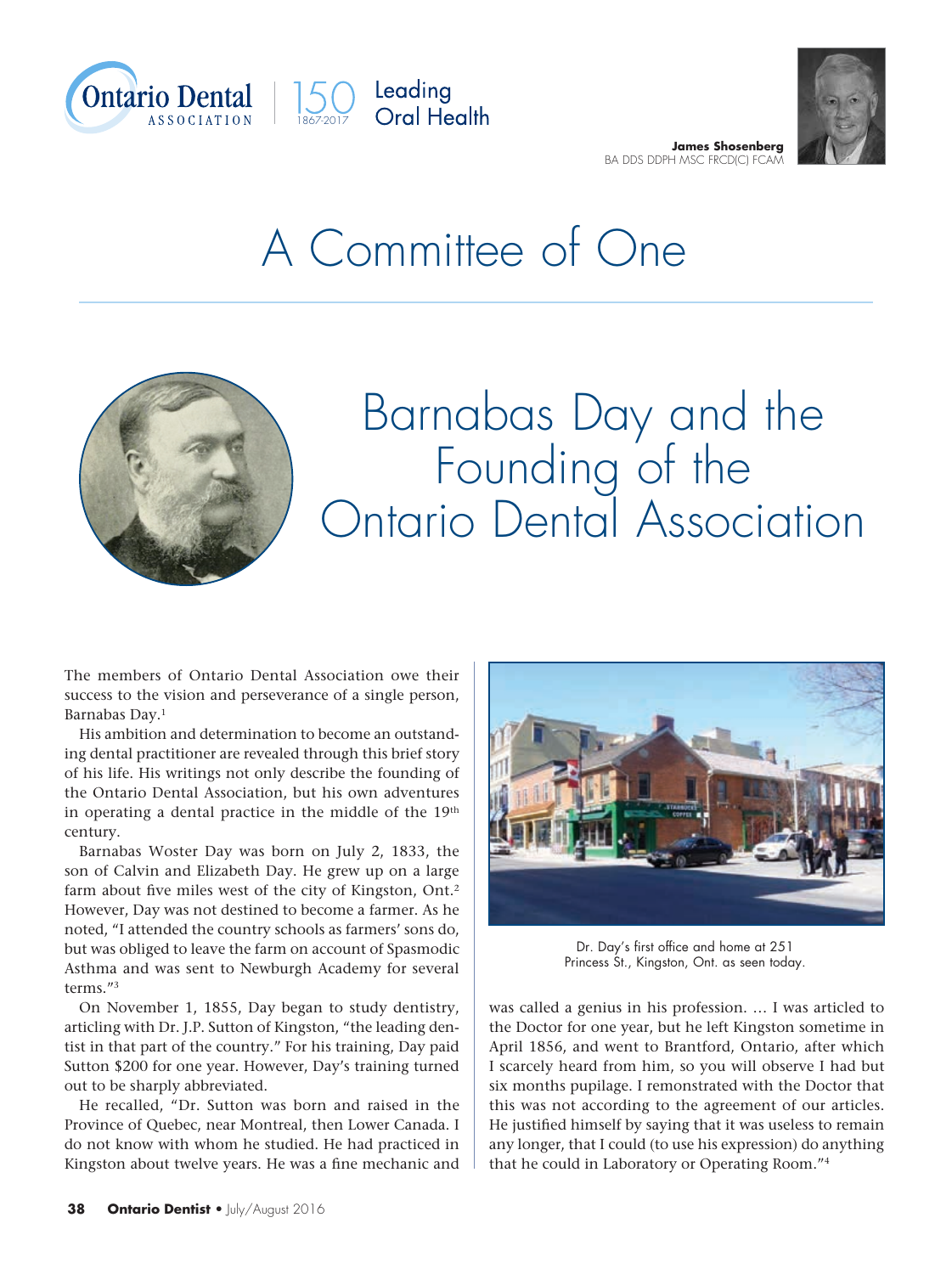



## A Committee of One



## Barnabas Day and the Founding of the Ontario Dental Association

The members of Ontario Dental Association owe their success to the vision and perseverance of a single person, Barnabas Day.1

His ambition and determination to become an outstanding dental practitioner are revealed through this brief story of his life. His writings not only describe the founding of the Ontario Dental Association, but his own adventures in operating a dental practice in the middle of the 19<sup>th</sup> century.

Barnabas Woster Day was born on July 2, 1833, the son of Calvin and Elizabeth Day. He grew up on a large farm about five miles west of the city of Kingston, Ont.2 However, Day was not destined to become a farmer. As he noted, "I attended the country schools as farmers' sons do, but was obliged to leave the farm on account of Spasmodic Asthma and was sent to Newburgh Academy for several terms."3

On November 1, 1855, Day began to study dentistry, articling with Dr. J.P. Sutton of Kingston, "the leading dentist in that part of the country." For his training, Day paid Sutton \$200 for one year. However, Day's training turned out to be sharply abbreviated.

He recalled, "Dr. Sutton was born and raised in the Province of Quebec, near Montreal, then Lower Canada. I do not know with whom he studied. He had practiced in Kingston about twelve years. He was a fine mechanic and



Dr. Day's first office and home at 251 Princess St., Kingston, Ont. as seen today.

was called a genius in his profession. … I was articled to the Doctor for one year, but he left Kingston sometime in April 1856, and went to Brantford, Ontario, after which I scarcely heard from him, so you will observe I had but six months pupilage. I remonstrated with the Doctor that this was not according to the agreement of our articles. He justified himself by saying that it was useless to remain any longer, that I could (to use his expression) do anything that he could in Laboratory or Operating Room."4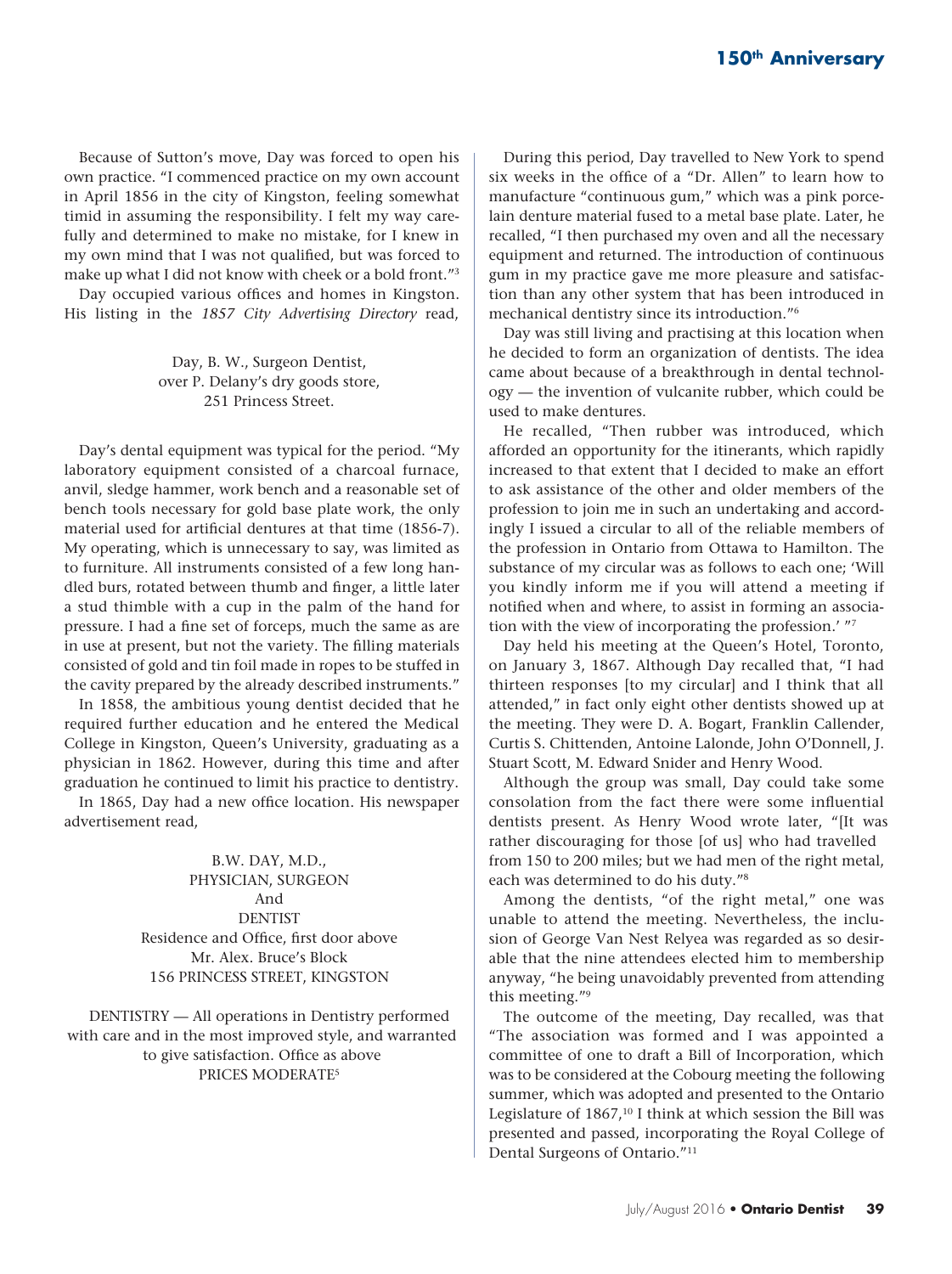Because of Sutton's move, Day was forced to open his own practice. "I commenced practice on my own account in April 1856 in the city of Kingston, feeling somewhat timid in assuming the responsibility. I felt my way carefully and determined to make no mistake, for I knew in my own mind that I was not qualified, but was forced to make up what I did not know with cheek or a bold front."3

Day occupied various offices and homes in Kingston. His listing in the *1857 City Advertising Directory* read,

> Day, B. W., Surgeon Dentist, over P. Delany's dry goods store, 251 Princess Street.

Day's dental equipment was typical for the period. "My laboratory equipment consisted of a charcoal furnace, anvil, sledge hammer, work bench and a reasonable set of bench tools necessary for gold base plate work, the only material used for artificial dentures at that time (1856-7). My operating, which is unnecessary to say, was limited as to furniture. All instruments consisted of a few long handled burs, rotated between thumb and finger, a little later a stud thimble with a cup in the palm of the hand for pressure. I had a fine set of forceps, much the same as are in use at present, but not the variety. The filling materials consisted of gold and tin foil made in ropes to be stuffed in the cavity prepared by the already described instruments."

In 1858, the ambitious young dentist decided that he required further education and he entered the Medical College in Kingston, Queen's University, graduating as a physician in 1862. However, during this time and after graduation he continued to limit his practice to dentistry.

In 1865, Day had a new office location. His newspaper advertisement read,

> B.W. DAY, M.D., PHYSICIAN, SURGEON And DENTIST Residence and Office, first door above Mr. Alex. Bruce's Block 156 PRINCESS STREET, KINGSTON

DENTISTRY — All operations in Dentistry performed with care and in the most improved style, and warranted to give satisfaction. Office as above PRICES MODERATE5

During this period, Day travelled to New York to spend six weeks in the office of a "Dr. Allen" to learn how to manufacture "continuous gum," which was a pink porcelain denture material fused to a metal base plate. Later, he recalled, "I then purchased my oven and all the necessary equipment and returned. The introduction of continuous gum in my practice gave me more pleasure and satisfaction than any other system that has been introduced in mechanical dentistry since its introduction."6

Day was still living and practising at this location when he decided to form an organization of dentists. The idea came about because of a breakthrough in dental technology — the invention of vulcanite rubber, which could be used to make dentures.

He recalled, "Then rubber was introduced, which afforded an opportunity for the itinerants, which rapidly increased to that extent that I decided to make an effort to ask assistance of the other and older members of the profession to join me in such an undertaking and accordingly I issued a circular to all of the reliable members of the profession in Ontario from Ottawa to Hamilton. The substance of my circular was as follows to each one; 'Will you kindly inform me if you will attend a meeting if notified when and where, to assist in forming an association with the view of incorporating the profession.' "7

Day held his meeting at the Queen's Hotel, Toronto, on January 3, 1867. Although Day recalled that, "I had thirteen responses [to my circular] and I think that all attended," in fact only eight other dentists showed up at the meeting. They were D. A. Bogart, Franklin Callender, Curtis S. Chittenden, Antoine Lalonde, John O'Donnell, J. Stuart Scott, M. Edward Snider and Henry Wood.

Although the group was small, Day could take some consolation from the fact there were some influential dentists present. As Henry Wood wrote later, "[It was rather discouraging for those [of us] who had travelled from 150 to 200 miles; but we had men of the right metal, each was determined to do his duty."8

Among the dentists, "of the right metal," one was unable to attend the meeting. Nevertheless, the inclusion of George Van Nest Relyea was regarded as so desirable that the nine attendees elected him to membership anyway, "he being unavoidably prevented from attending this meeting."9

The outcome of the meeting, Day recalled, was that "The association was formed and I was appointed a committee of one to draft a Bill of Incorporation, which was to be considered at the Cobourg meeting the following summer, which was adopted and presented to the Ontario Legislature of  $1867$ ,<sup>10</sup> I think at which session the Bill was presented and passed, incorporating the Royal College of Dental Surgeons of Ontario."11